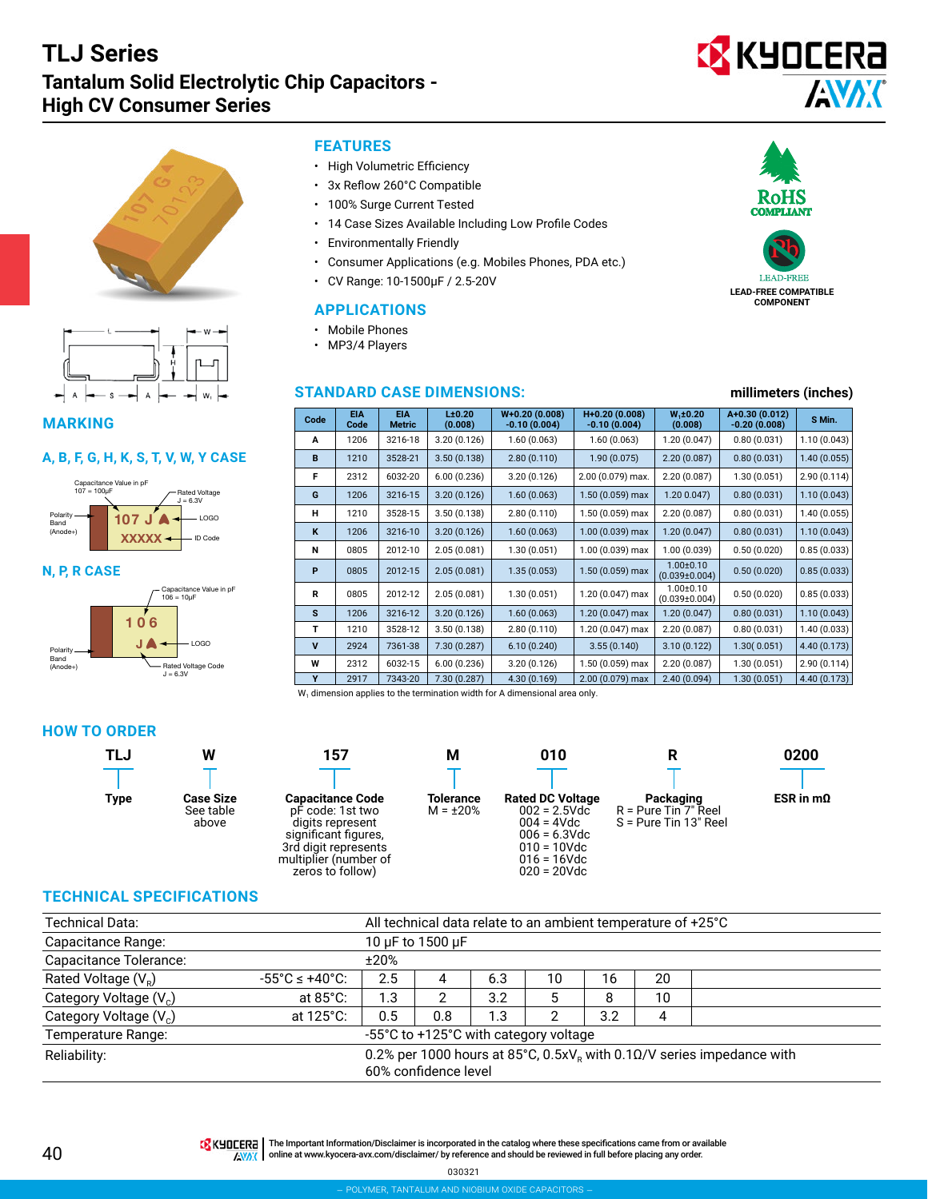





**MARKING**

#### **A, B, F, G, H, K, S, T, V, W, Y CASE**



#### **N, P, R CASE**



## **FEATURES**

- High Volumetric Efficiency
- 3x Reflow 260°C Compatible
- 100% Surge Current Tested
- 14 Case Sizes Available Including Low Profile Codes
- Environmentally Friendly
- Consumer Applications (e.g. Mobiles Phones, PDA etc.)
- CV Range: 10-1500μF / 2.5-20V

## **APPLICATIONS**

- Mobile Phones
- MP3/4 Players

## **STANDARD CASE DIMENSIONS: millimeters (inches)**

| Code        | <b>EIA</b><br>Code | <b>EIA</b><br><b>Metric</b> | L±0.20<br>(0.008) | $W+0.20(0.008)$<br>$-0.10(0.004)$ | H+0.20 (0.008)<br>$-0.10(0.004)$ | $W_1 \pm 0.20$<br>(0.008)              | A+0.30 (0.012)<br>$-0.20(0.008)$ | S Min.       |
|-------------|--------------------|-----------------------------|-------------------|-----------------------------------|----------------------------------|----------------------------------------|----------------------------------|--------------|
| A           | 1206               | 3216-18                     | 3.20(0.126)       | 1.60(0.063)                       | 1.60(0.063)                      | 1.20 (0.047)                           | 0.80(0.031)                      | 1.10(0.043)  |
| B           | 1210               | 3528-21                     | 3.50(0.138)       | 2.80(0.110)                       | 1.90(0.075)                      | 2.20(0.087)                            | 0.80(0.031)                      | 1.40(0.055)  |
| F           | 2312               | 6032-20                     | 6.00(0.236)       | 3.20(0.126)                       | 2.00 (0.079) max.                | 2.20(0.087)                            | 1.30(0.051)                      | 2.90(0.114)  |
| G           | 1206               | 3216-15                     | 3.20(0.126)       | 1.60(0.063)                       | 1.50 (0.059) max                 | 1.200.047                              | 0.80(0.031)                      | 1.10(0.043)  |
| н           | 1210               | 3528-15                     | 3.50(0.138)       | 2.80(0.110)                       | 1.50 (0.059) max                 | 2.20(0.087)                            | 0.80(0.031)                      | 1.40(0.055)  |
| K           | 1206               | 3216-10                     | 3.20(0.126)       | 1.60(0.063)                       | 1.00 (0.039) max                 | 1.20(0.047)                            | 0.80(0.031)                      | 1.10(0.043)  |
| N           | 0805               | 2012-10                     | 2.05(0.081)       | 1.30(0.051)                       | 1.00 (0.039) max                 | 1.00(0.039)                            | 0.50(0.020)                      | 0.85(0.033)  |
| P           | 0805               | 2012-15                     | 2.05(0.081)       | 1.35(0.053)                       | 1.50 (0.059) max                 | $1.00 \pm 0.10$<br>$(0.039 \pm 0.004)$ | 0.50(0.020)                      | 0.85(0.033)  |
| R           | 0805               | 2012-12                     | 2.05(0.081)       | 1.30(0.051)                       | 1.20 (0.047) max                 | $1.00 \pm 0.10$<br>$(0.039 \pm 0.004)$ | 0.50(0.020)                      | 0.85(0.033)  |
| S           | 1206               | 3216-12                     | 3.20(0.126)       | 1.60(0.063)                       | 1.20 (0.047) max                 | 1.20(0.047)                            | 0.80(0.031)                      | 1.10(0.043)  |
| т           | 1210               | 3528-12                     | 3.50(0.138)       | 2.80(0.110)                       | 1.20 (0.047) max                 | 2.20(0.087)                            | 0.80(0.031)                      | 1.40(0.033)  |
| $\mathbf v$ | 2924               | 7361-38                     | 7.30(0.287)       | 6.10(0.240)                       | 3.55(0.140)                      | 3.10(0.122)                            | 1.30(0.051)                      | 4.40 (0.173) |
| W           | 2312               | 6032-15                     | 6.00(0.236)       | 3.20(0.126)                       | 1.50 (0.059) max                 | 2.20(0.087)                            | 1.30(0.051)                      | 2.90(0.114)  |
| Y           | 2917               | 7343-20                     | 7.30 (0.287)      | 4.30 (0.169)                      | 2.00 (0.079) max                 | 2.40(0.094)                            | 1.30(0.051)                      | 4.40 (0.173) |

W<sub>1</sub> dimension applies to the termination width for A dimensional area only.

#### **HOW TO ORDER**











#### **TECHNICAL SPECIFICATIONS**

| Technical Data:                    | All technical data relate to an ambient temperature of +25°C             |      |                                       |     |    |     |    |  |  |  |
|------------------------------------|--------------------------------------------------------------------------|------|---------------------------------------|-----|----|-----|----|--|--|--|
| Capacitance Range:                 | 10 µF to 1500 µF                                                         |      |                                       |     |    |     |    |  |  |  |
| Capacitance Tolerance:             |                                                                          | ±20% |                                       |     |    |     |    |  |  |  |
| Rated Voltage $(V_R)$              | $-55^{\circ}$ C $\leq$ +40°C:                                            | 2.5  | 4                                     | 6.3 | 10 | 16  | 20 |  |  |  |
| Category Voltage (V <sub>c</sub> ) | at $85^{\circ}$ C:                                                       | 1.3  | າ                                     | 3.2 | 5  | 8   | 10 |  |  |  |
| Category Voltage (V <sub>c</sub> ) | at 125°C:                                                                | 0.5  | 0.8                                   | 1.3 | ົ  | 3.2 | 4  |  |  |  |
| Temperature Range:                 |                                                                          |      | -55°C to +125°C with category voltage |     |    |     |    |  |  |  |
| Reliability:                       | 0.2% per 1000 hours at 85°C, 0.5x $Ve$ with 0.10/V series impedance with |      |                                       |     |    |     |    |  |  |  |
|                                    |                                                                          |      | 60% confidence level                  |     |    |     |    |  |  |  |

TR KHOCERA | The Important Information/Disclaimer is incorporated in the catalog where these specifications came from or available AVAX online at [www.kyocera-avx.com/disclaimer/](http://www.kyocera-avx.com/disclaimer/) by reference and should be reviewed in full before placing any order.

030321



**LEAD-FREE COMPATIBLE COMPONENT**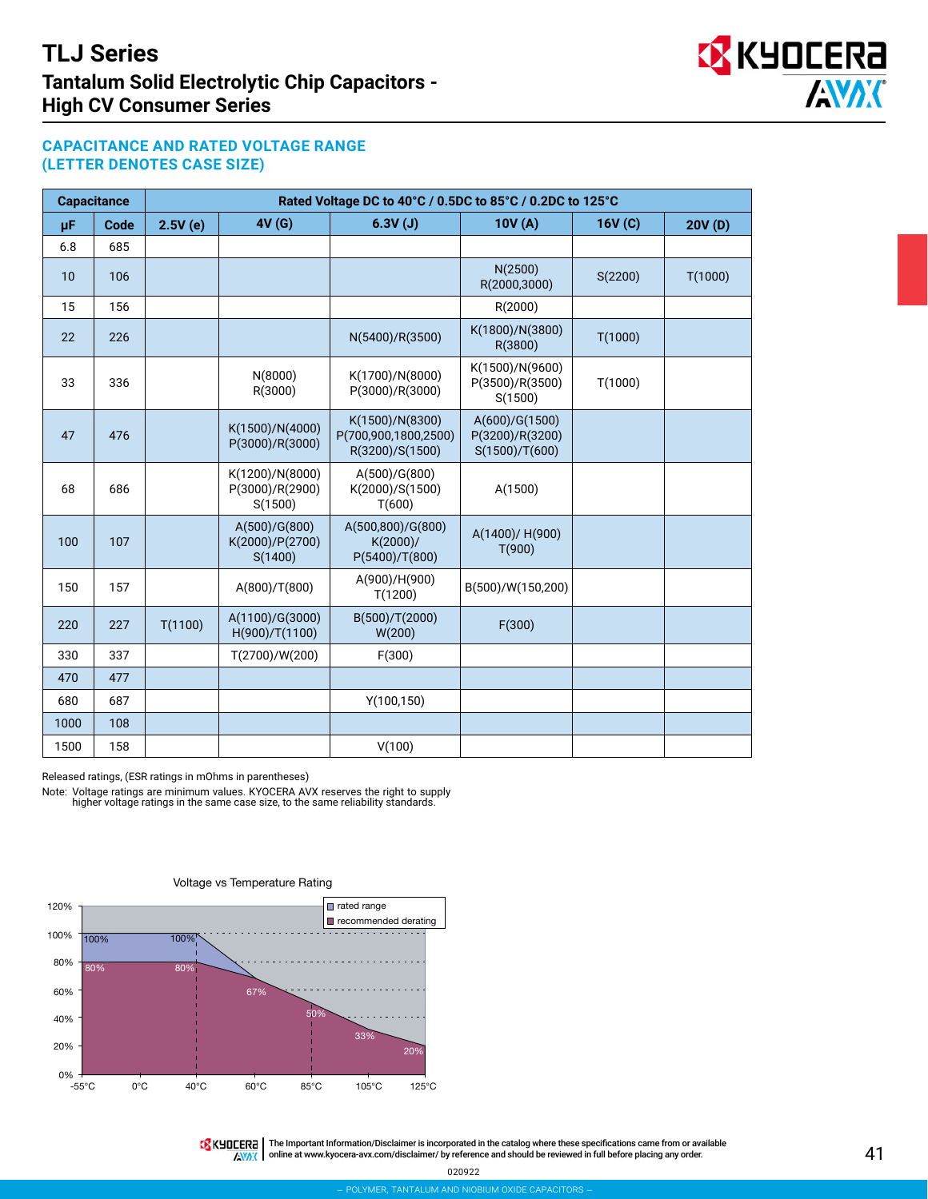

## **CAPACITANCE AND RATED VOLTAGE RANGE (LETTER DENOTES CASE SIZE)**

|      | <b>Capacitance</b> |         |                                               | Rated Voltage DC to 40°C / 0.5DC to 85°C / 0.2DC to 125°C  |                                                     |         |         |
|------|--------------------|---------|-----------------------------------------------|------------------------------------------------------------|-----------------------------------------------------|---------|---------|
| μF   | Code               | 2.5V(e) | 4V(G)                                         | 6.3V(J)                                                    | 10V(A)                                              | 16V(C)  | 20V(D)  |
| 6.8  | 685                |         |                                               |                                                            |                                                     |         |         |
| 10   | 106                |         |                                               |                                                            | N(2500)<br>R(2000,3000)                             | S(2200) | T(1000) |
| 15   | 156                |         |                                               |                                                            | R(2000)                                             |         |         |
| 22   | 226                |         |                                               | N(5400)/R(3500)                                            | K(1800)/N(3800)<br>R(3800)                          | T(1000) |         |
| 33   | 336                |         | N(8000)<br>R(3000)                            | K(1700)/N(8000)<br>P(3000)/R(3000)                         | K(1500)/N(9600)<br>P(3500)/R(3500)<br>S(1500)       | T(1000) |         |
| 47   | 476                |         | K(1500)/N(4000)<br>P(3000)/R(3000)            | K(1500)/N(8300)<br>P(700,900,1800,2500)<br>R(3200)/S(1500) | A(600)/G(1500)<br>P(3200)/R(3200)<br>S(1500)/T(600) |         |         |
| 68   | 686                |         | K(1200)/N(8000)<br>P(3000)/R(2900)<br>S(1500) | A(500)/G(800)<br>K(2000)/S(1500)<br>T(600)                 | A(1500)                                             |         |         |
| 100  | 107                |         | A(500)/G(800)<br>K(2000)/P(2700)<br>S(1400)   | A(500,800)/G(800)<br>K(2000)/<br>P(5400)/T(800)            | A(1400)/ H(900)<br>T(900)                           |         |         |
| 150  | 157                |         | A(800)/T(800)                                 | A(900)/H(900)<br>T(1200)                                   | B(500)/W(150,200)                                   |         |         |
| 220  | 227                | T(1100) | A(1100)/G(3000)<br>H(900)/T(1100)             | B(500)/T(2000)<br>W(200)                                   | F(300)                                              |         |         |
| 330  | 337                |         | T(2700)/W(200)                                | F(300)                                                     |                                                     |         |         |
| 470  | 477                |         |                                               |                                                            |                                                     |         |         |
| 680  | 687                |         |                                               | Y(100, 150)                                                |                                                     |         |         |
| 1000 | 108                |         |                                               |                                                            |                                                     |         |         |
| 1500 | 158                |         |                                               | V(100)                                                     |                                                     |         |         |

Released ratings, (ESR ratings in mOhms in parentheses)

Note: Voltage ratings are minimum values. KYOCERA AVX reserves the right to supply higher voltage ratings in the same case size, to the same reliability standards.



Voltage vs Temperature Rating

THE Important Information/Disclaimer is incorporated in the catalog where these specifications came from or available **AWAX** online at [www.kyocera-avx.com/disclaimer/](http://www.avx.com/disclaimer/) by reference and should be reviewed in full before placing any order.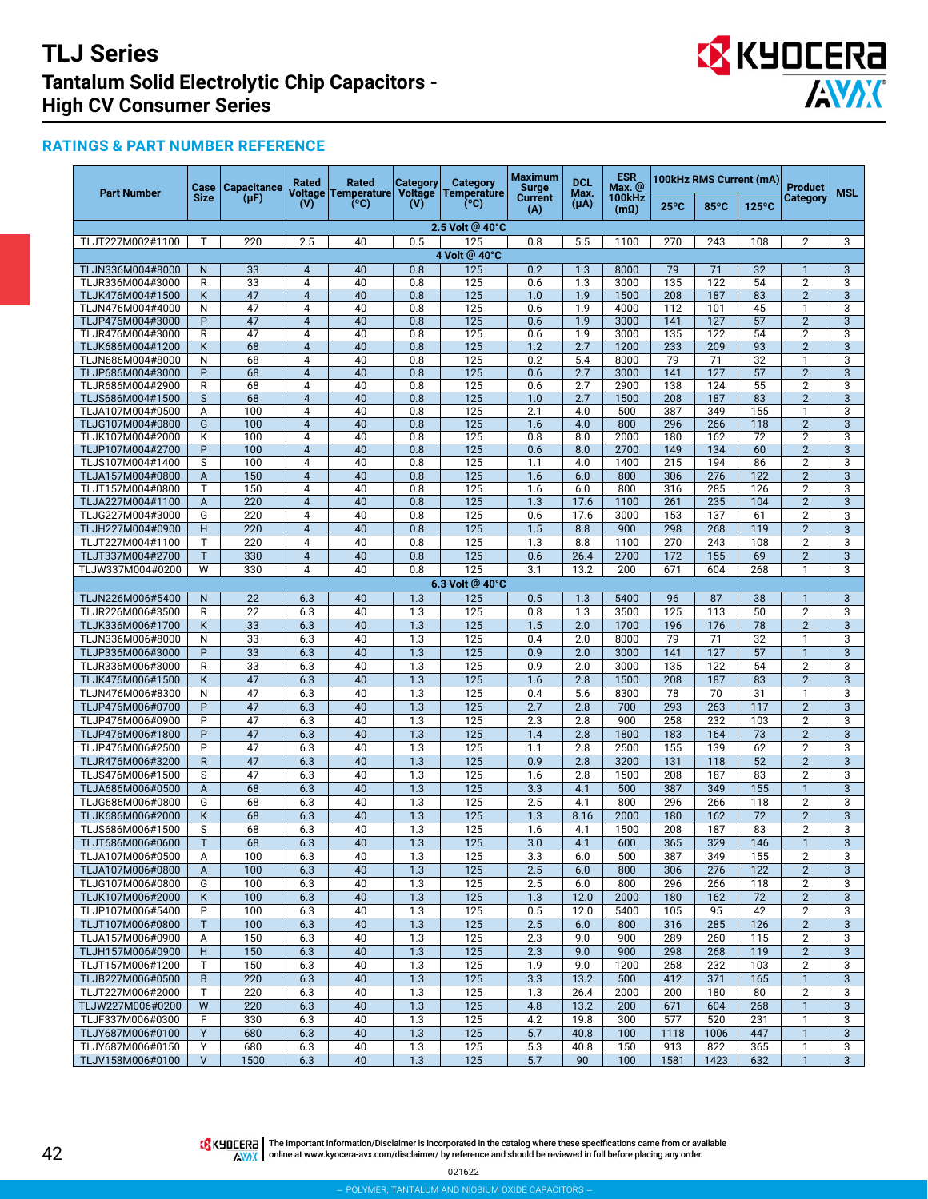

## **RATINGS & PART NUMBER REFERENCE**

| <b>Part Number</b>                   | Case         | <b>Capacitance</b> | Rated                            | Rated<br>Voltage Temperature | Category<br><b>Voltage</b> | Category<br><b>Temperature</b> | Maximum<br>Surge      | <b>DCL</b><br>Max. | <b>ESR</b><br>Max. @         |                | 100kHz RMS Current (mA) |                 | <b>Product</b>                   | <b>MSL</b>          |
|--------------------------------------|--------------|--------------------|----------------------------------|------------------------------|----------------------------|--------------------------------|-----------------------|--------------------|------------------------------|----------------|-------------------------|-----------------|----------------------------------|---------------------|
|                                      | <b>Size</b>  | $(\mu F)$          | (V)                              | (°C)                         | (V)                        | (°C)                           | <b>Current</b><br>(A) | $(\mu A)$          | <b>100kHz</b><br>$(m\Omega)$ | $25^{\circ}$ C | $85^{\circ}$ C          | $125^{\circ}$ C | <b>Category</b>                  |                     |
|                                      |              |                    |                                  |                              |                            | 2.5 Volt @ 40°C                |                       |                    |                              |                |                         |                 |                                  |                     |
| TLJT227M002#1100                     | т            | 220                | 2.5                              | 40                           | 0.5                        | 125                            | 0.8                   | 5.5                | 1100                         | 270            | 243                     | 108             | $\overline{2}$                   | 3                   |
|                                      |              |                    |                                  |                              |                            | 4 Volt @ 40°C                  |                       |                    |                              |                |                         |                 |                                  |                     |
| TLJN336M004#8000                     | $\mathsf{N}$ | 33                 | $\overline{4}$                   | 40                           | 0.8                        | 125                            | 0.2                   | 1.3                | 8000                         | 79             | 71                      | 32              | $\mathbf{1}$                     | 3                   |
| TLJR336M004#3000                     | R            | 33                 | 4                                | 40                           | 0.8                        | 125                            | 0.6                   | 1.3                | 3000                         | 135            | 122                     | 54              | $\overline{2}$                   | 3                   |
| TLJK476M004#1500<br>TLJN476M004#4000 | Κ<br>N       | 47<br>47           | $\overline{4}$<br>4              | 40<br>40                     | 0.8<br>0.8                 | 125<br>125                     | 1.0<br>0.6            | 1.9<br>1.9         | 1500<br>4000                 | 208<br>112     | 187<br>101              | 83<br>45        | $\overline{2}$<br>$\mathbf{1}$   | 3<br>3              |
| TLJP476M004#3000                     | P            | $\overline{47}$    | $\overline{4}$                   | 40                           | 0.8                        | 125                            | 0.6                   | 1.9                | 3000                         | 141            | 127                     | 57              | $\overline{2}$                   | 3                   |
| TLJR476M004#3000                     | R            | 47                 | 4                                | 40                           | 0.8                        | 125                            | 0.6                   | 1.9                | 3000                         | 135            | 122                     | 54              | $\overline{2}$                   | 3                   |
| TLJK686M004#1200                     | Κ            | 68                 | $\overline{4}$                   | 40                           | 0.8                        | 125                            | 1.2                   | 2.7                | 1200                         | 233            | 209                     | 93              | $\overline{2}$                   | 3                   |
| TLJN686M004#8000                     | N            | 68                 | 4                                | 40                           | 0.8                        | 125                            | 0.2                   | 5.4                | 8000                         | 79             | 71                      | 32              | 1                                | 3                   |
| TLJP686M004#3000                     | P            | 68                 | $\overline{4}$                   | 40                           | 0.8                        | 125                            | 0.6                   | 2.7                | 3000                         | 141            | 127                     | 57              | $\overline{2}$                   | 3                   |
| TLJR686M004#2900                     | R            | 68                 | 4                                | 40                           | 0.8                        | 125                            | 0.6                   | 2.7                | 2900                         | 138            | 124                     | 55              | $\overline{2}$                   | 3                   |
| TLJS686M004#1500                     | S            | 68                 | $\overline{4}$                   | 40                           | 0.8                        | 125                            | 1.0                   | 2.7                | 1500                         | 208            | 187                     | 83              | $\overline{2}$                   | $\overline{3}$      |
| TLJA107M004#0500                     | Α            | 100                | 4                                | 40                           | 0.8                        | 125                            | 2.1                   | 4.0                | 500                          | 387            | 349                     | 155             | 1                                | 3                   |
| TLJG107M004#0800                     | G            | 100                | $\overline{4}$                   | 40                           | 0.8                        | 125                            | 1.6                   | 4.0                | 800                          | 296            | 266                     | 118             | $\overline{2}$                   | 3                   |
| TLJK107M004#2000                     | Κ            | 100                | 4                                | 40                           | 0.8                        | 125                            | 0.8                   | 8.0                | 2000                         | 180            | 162                     | 72              | $\overline{2}$                   | 3                   |
| TLJP107M004#2700<br>TLJS107M004#1400 | P<br>S       | 100<br>100         | $\overline{4}$<br>$\overline{4}$ | 40<br>40                     | 0.8<br>0.8                 | 125<br>125                     | 0.6<br>1.1            | 8.0<br>4.0         | 2700<br>1400                 | 149<br>215     | 134<br>194              | 60<br>86        | $\overline{2}$<br>$\overline{2}$ | $\overline{3}$<br>3 |
| TLJA157M004#0800                     | A            | 150                | $\overline{4}$                   | 40                           | 0.8                        | 125                            | 1.6                   | 6.0                | 800                          | 306            | 276                     | 122             | $\overline{2}$                   | 3                   |
| TLJT157M004#0800                     | T            | 150                | 4                                | 40                           | 0.8                        | 125                            | 1.6                   | 6.0                | 800                          | 316            | 285                     | 126             | $\overline{2}$                   | $\overline{3}$      |
| TLJA227M004#1100                     | A            | 220                | $\overline{4}$                   | 40                           | 0.8                        | 125                            | 1.3                   | 17.6               | 1100                         | 261            | 235                     | 104             | $\overline{2}$                   | 3                   |
| TLJG227M004#3000                     | G            | 220                | 4                                | 40                           | 0.8                        | 125                            | 0.6                   | 17.6               | 3000                         | 153            | 137                     | 61              | $\overline{2}$                   | 3                   |
| TLJH227M004#0900                     | H            | 220                | $\overline{4}$                   | 40                           | 0.8                        | 125                            | 1.5                   | 8.8                | 900                          | 298            | 268                     | 119             | $\overline{2}$                   | 3                   |
| TLJT227M004#1100                     | T            | 220                | 4                                | 40                           | 0.8                        | 125                            | 1.3                   | 8.8                | 1100                         | 270            | 243                     | 108             | $\overline{2}$                   | 3                   |
| TLJT337M004#2700                     | $\mathsf{T}$ | 330                | $\overline{4}$                   | 40                           | 0.8                        | 125                            | 0.6                   | 26.4               | 2700                         | 172            | 155                     | 69              | $\overline{2}$                   | 3                   |
| TLJW337M004#0200                     | W            | 330                | 4                                | 40                           | 0.8                        | 125                            | 3.1                   | 13.2               | 200                          | 671            | 604                     | 268             | 1                                | 3                   |
|                                      |              |                    |                                  |                              |                            | 6.3 Volt @ 40°C                |                       |                    |                              |                |                         |                 |                                  |                     |
| TLJN226M006#5400                     | $\mathsf{N}$ | 22                 | 6.3                              | 40                           | 1.3                        | 125                            | 0.5                   | 1.3                | 5400                         | 96             | 87                      | 38              | $\mathbf{1}$                     | 3                   |
| TLJR226M006#3500                     | R            | 22                 | 6.3                              | 40                           | 1.3                        | 125                            | 0.8                   | 1.3                | 3500                         | 125            | 113                     | 50              | $\overline{2}$                   | 3                   |
| TLJK336M006#1700                     | Κ            | 33                 | 6.3                              | 40                           | 1.3                        | 125                            | 1.5                   | 2.0                | 1700                         | 196            | 176                     | 78              | $\overline{2}$                   | 3                   |
| TLJN336M006#8000                     | N            | 33                 | 6.3                              | 40                           | 1.3                        | 125                            | 0.4                   | 2.0                | 8000                         | 79             | 71                      | 32              | $\mathbf{1}$                     | 3                   |
| TLJP336M006#3000                     | P            | 33                 | 6.3                              | 40                           | 1.3                        | 125                            | 0.9                   | 2.0                | 3000                         | 141            | 127                     | 57              | $\mathbf{1}$                     | 3                   |
| TLJR336M006#3000                     | R            | 33                 | 6.3                              | 40                           | 1.3                        | 125                            | 0.9                   | 2.0                | 3000                         | 135            | 122                     | 54              | $\overline{2}$                   | 3                   |
| TLJK476M006#1500                     | Κ            | 47                 | 6.3                              | 40                           | 1.3                        | 125                            | 1.6                   | 2.8                | 1500                         | 208            | 187                     | 83              | $\overline{2}$                   | 3                   |
| TLJN476M006#8300                     | N            | 47                 | 6.3                              | 40                           | 1.3                        | 125                            | 0.4                   | 5.6                | 8300                         | 78             | 70                      | 31              | $\mathbf{1}$                     | 3                   |
| TLJP476M006#0700                     | P<br>P       | $\overline{47}$    | 6.3                              | 40                           | 1.3                        | 125                            | 2.7                   | 2.8                | 700                          | 293            | 263                     | 117             | $\overline{2}$                   | $\overline{3}$<br>3 |
| TLJP476M006#0900<br>TLJP476M006#1800 | P            | 47<br>47           | 6.3<br>6.3                       | 40<br>40                     | 1.3<br>1.3                 | 125<br>125                     | 2.3<br>1.4            | 2.8<br>2.8         | 900<br>1800                  | 258<br>183     | 232<br>164              | 103<br>73       | $\overline{2}$<br>$\overline{2}$ | 3                   |
| TLJP476M006#2500                     | P            | 47                 | 6.3                              | 40                           | 1.3                        | 125                            | 1.1                   | 2.8                | 2500                         | 155            | 139                     | 62              | $\overline{2}$                   | $\overline{3}$      |
| TLJR476M006#3200                     | $\mathsf{R}$ | 47                 | 6.3                              | 40                           | 1.3                        | 125                            | 0.9                   | 2.8                | 3200                         | 131            | 118                     | 52              | $\overline{2}$                   | $\overline{3}$      |
| TLJS476M006#1500                     | S            | 47                 | 6.3                              | 40                           | 1.3                        | 125                            | 1.6                   | 2.8                | 1500                         | 208            | 187                     | 83              | $\overline{2}$                   | $\overline{3}$      |
| TLJA686M006#0500                     | A            | 68                 | 6.3                              | 40                           | 1.3                        | 125                            | 3.3                   | 4.1                | 500                          | 387            | 349                     | 155             | $\mathbf{1}$                     | $\overline{3}$      |
| TLJG686M006#0800                     | G            | 68                 | 6.3                              | 40                           | 1.3                        | 125                            | 2.5                   | 4.1                | 800                          | 296            | 266                     | 118             | $\overline{2}$                   | 3                   |
| TLJK686M006#2000                     | Κ            | 68                 | 6.3                              | 40                           | 1.3                        | 125                            | 1.3                   | 8.16               | 2000                         | 180            | 162                     | 72              | $\overline{2}$                   | $\overline{3}$      |
| TLJS686M006#1500                     | S            | 68                 | 6.3                              | 40                           | 1.3                        | 125                            | 1.6                   | 4.1                | 1500                         | 208            | 187                     | 83              | $\overline{2}$                   | 3                   |
| TLJT686M006#0600                     | T            | 68                 | 6.3                              | 40                           | 1.3                        | 125                            | 3.0                   | 4.1                | 600                          | 365            | 329                     | 146             | $\mathbf{1}$                     | 3                   |
| TLJA107M006#0500                     | Α            | 100                | 6.3                              | 40                           | 1.3                        | 125                            | 3.3                   | 6.0                | 500                          | 387            | 349                     | 155             | $\overline{2}$                   | 3                   |
| TLJA107M006#0800                     | A            | 100                | 6.3                              | 40                           | 1.3                        | 125                            | 2.5                   | 6.0                | 800                          | 306            | 276                     | 122             | $\overline{2}$                   | $\mathbf{3}$        |
| TLJG107M006#0800                     | G            | 100                | 6.3                              | 40                           | 1.3                        | 125                            | 2.5                   | 6.0                | 800                          | 296            | 266                     | 118             | $\overline{2}$                   | 3                   |
| TLJK107M006#2000                     | Κ            | 100                | 6.3                              | 40                           | 1.3                        | 125                            | 1.3                   | 12.0               | 2000                         | 180            | 162                     | 72              | $\overline{2}$                   | $\mathbf{3}$        |
| TLJP107M006#5400                     | P            | 100                | 6.3                              | 40                           | 1.3                        | 125                            | 0.5                   | 12.0               | 5400                         | 105            | 95                      | 42              | $\overline{2}$                   | 3                   |
| TLJT107M006#0800                     | T            | 100                | 6.3                              | 40                           | 1.3                        | 125                            | 2.5                   | 6.0                | 800                          | 316            | 285                     | 126             | $\overline{2}$                   | $\mathbf{3}$        |
| TLJA157M006#0900                     | Α            | 150                | 6.3                              | 40                           | 1.3                        | 125                            | 2.3                   | 9.0                | 900                          | 289            | 260                     | 115             | $\overline{2}$                   | 3                   |
| TLJH157M006#0900                     | н            | 150                | 6.3                              | 40                           | 1.3                        | 125                            | 2.3                   | 9.0                | 900                          | 298            | 268                     | 119             | $\overline{2}$                   | $\mathbf{3}$        |
| TLJT157M006#1200                     | Т            | 150                | 6.3                              | 40                           | 1.3                        | 125                            | 1.9                   | 9.0                | 1200                         | 258            | 232                     | 103             | $\overline{2}$                   | 3                   |
| TLJB227M006#0500                     | B            | 220                | 6.3                              | 40                           | 1.3                        | 125                            | 3.3                   | 13.2               | 500                          | 412            | 371                     | 165             | $\mathbf{1}$                     | 3                   |
| TLJT227M006#2000                     | т            | 220                | 6.3                              | 40                           | 1.3                        | 125                            | 1.3                   | 26.4               | 2000                         | 200            | 180                     | 80              | $\overline{2}$                   | 3                   |
| TLJW227M006#0200                     | W<br>F       | 220                | 6.3                              | 40<br>40                     | 1.3<br>1.3                 | 125<br>125                     | 4.8                   | 13.2<br>19.8       | 200<br>300                   | 671<br>577     | 604<br>520              | 268<br>231      | $\mathbf{1}$<br>1                | $\mathbf{3}$<br>3   |
| TLJF337M006#0300<br>TLJY687M006#0100 | Y            | 330<br>680         | 6.3<br>6.3                       | 40                           | 1.3                        | 125                            | 4.2<br>5.7            | 40.8               | 100                          | 1118           | 1006                    | 447             | $\mathbf{1}$                     | $\mathbf{3}$        |
| TLJY687M006#0150                     | Υ            | 680                | 6.3                              | 40                           | 1.3                        | 125                            | 5.3                   | 40.8               | 150                          | 913            | 822                     | 365             | 1                                | 3                   |
| TLJV158M006#0100                     | $\vee$       | 1500               | 6.3                              | 40                           | 1.3                        | 125                            | 5.7                   | 90                 | 100                          | 1581           | 1423                    | 632             | $\overline{1}$                   | $\overline{3}$      |

The Important Information/Disclaimer is incorporated in the catalog where these specifications came from or available<br>online at [www.kyocera-avx.com/disclaimer/](http://www.kyocera-avx.com/disclaimer/) by reference and should be reviewed in full before placing any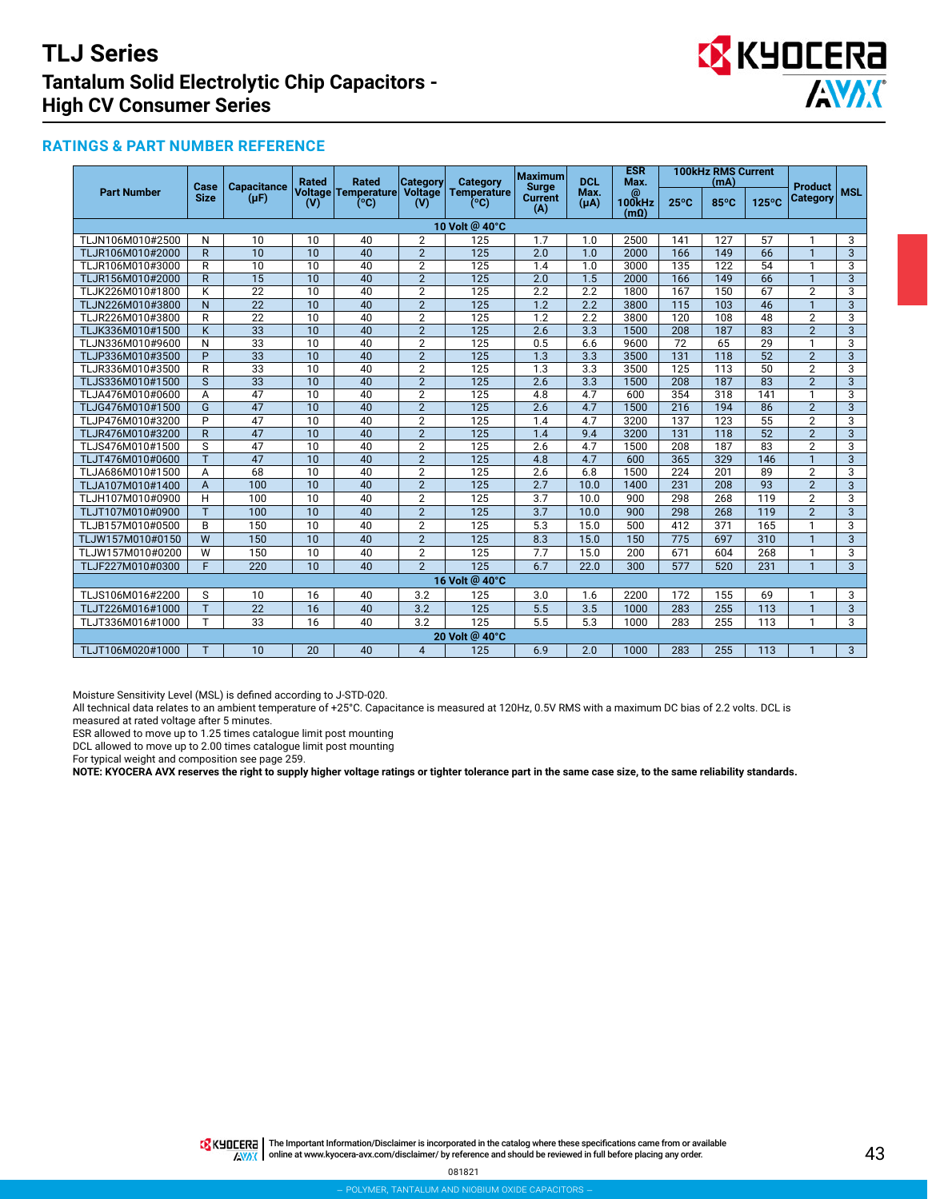

### **RATINGS & PART NUMBER REFERENCE**

|                    | Case<br><b>Capacitance</b><br><b>Size</b><br>$(\mu F)$ |                 | <b>Rated</b>                    | <b>Rated</b>          | <b>Category</b>     | Category              | <b>Maximum</b><br><b>Surge</b> | <b>DCL</b>                 | <b>ESR</b><br>Max. | <b>100kHz RMS Current</b><br>(mA) |       |            | <b>Product</b><br>Category |                |
|--------------------|--------------------------------------------------------|-----------------|---------------------------------|-----------------------|---------------------|-----------------------|--------------------------------|----------------------------|--------------------|-----------------------------------|-------|------------|----------------------------|----------------|
| <b>Part Number</b> |                                                        | (V)             | Voltage   Temperature  <br>(°C) | <b>Voltage</b><br>(V) | Temperature<br>(°C) | <b>Current</b><br>(A) | Max.<br>$(\mu A)$              | @<br>100kHz<br>$(m\Omega)$ | $25^{\circ}$ C     | 85°C                              | 125°C | <b>MSL</b> |                            |                |
|                    |                                                        |                 |                                 |                       |                     | 10 Volt @ 40°C        |                                |                            |                    |                                   |       |            |                            |                |
| TLJN106M010#2500   | N                                                      | 10              | 10                              | 40                    | $\overline{2}$      | 125                   | 1.7                            | 1.0                        | 2500               | 141                               | 127   | 57         |                            | 3              |
| TLJR106M010#2000   | $\mathsf{R}$                                           | 10              | $\overline{10}$                 | 40                    | $\overline{2}$      | 125                   | 2.0                            | 1.0                        | 2000               | 166                               | 149   | 66         | $\mathbf{1}$               | $\overline{3}$ |
| TLJR106M010#3000   | R                                                      | 10              | 10                              | 40                    | $\overline{2}$      | 125                   | 1.4                            | 1.0                        | 3000               | 135                               | 122   | 54         | 1                          | 3              |
| TLJR156M010#2000   | R                                                      | 15              | 10                              | 40                    | $\overline{2}$      | 125                   | 2.0                            | 1.5                        | 2000               | 166                               | 149   | 66         | $\mathbf{1}$               | $\overline{3}$ |
| TLJK226M010#1800   | K                                                      | 22              | 10                              | 40                    | $\overline{2}$      | 125                   | 2.2                            | 2.2                        | 1800               | 167                               | 150   | 67         | $\overline{2}$             | $\overline{3}$ |
| TLJN226M010#3800   | N                                                      | $\overline{22}$ | 10                              | 40                    | $\overline{2}$      | 125                   | 1.2                            | 2.2                        | 3800               | 115                               | 103   | 46         | $\mathbf{1}$               | $\overline{3}$ |
| TLJR226M010#3800   | R                                                      | $\overline{22}$ | 10                              | 40                    | $\overline{2}$      | 125                   | 1.2                            | 2.2                        | 3800               | 120                               | 108   | 48         | $\overline{2}$             | $\overline{3}$ |
| TLJK336M010#1500   | K                                                      | $\overline{33}$ | 10                              | 40                    | $\overline{2}$      | 125                   | 2.6                            | 3.3                        | 1500               | 208                               | 187   | 83         | $\overline{2}$             | $\overline{3}$ |
| TLJN336M010#9600   | N                                                      | $\overline{33}$ | 10                              | 40                    | $\overline{2}$      | 125                   | 0.5                            | 6.6                        | 9600               | 72                                | 65    | 29         |                            | $\overline{3}$ |
| TLJP336M010#3500   | $\overline{P}$                                         | 33              | 10                              | 40                    | $\overline{2}$      | 125                   | 1.3                            | 3.3                        | 3500               | 131                               | 118   | 52         | $\overline{2}$             | $\overline{3}$ |
| TLJR336M010#3500   | $\overline{R}$                                         | $\overline{33}$ | $\overline{10}$                 | 40                    | $\overline{2}$      | 125                   | $\overline{1.3}$               | 3.3                        | 3500               | 125                               | 113   | 50         | $\overline{2}$             | $\overline{3}$ |
| TLJS336M010#1500   | S                                                      | 33              | 10                              | 40                    | $\overline{2}$      | 125                   | 2.6                            | 3.3                        | 1500               | 208                               | 187   | 83         | $\overline{2}$             | $\overline{3}$ |
| TLJA476M010#0600   | A                                                      | 47              | 10                              | 40                    | $\overline{2}$      | 125                   | 4.8                            | 4.7                        | 600                | 354                               | 318   | 141        | $\mathbf{1}$               | 3              |
| TLJG476M010#1500   | G                                                      | 47              | 10                              | 40                    | $\overline{2}$      | $\overline{125}$      | 2.6                            | $\overline{4.7}$           | 1500               | 216                               | 194   | 86         | $\overline{2}$             | 3              |
| TLJP476M010#3200   | P                                                      | 47              | 10                              | 40                    | $\overline{2}$      | 125                   | 1.4                            | 4.7                        | 3200               | 137                               | 123   | 55         | $\overline{2}$             | 3              |
| TLJR476M010#3200   | $\overline{R}$                                         | 47              | 10                              | 40                    | $\overline{2}$      | 125                   | 1.4                            | 9.4                        | 3200               | 131                               | 118   | 52         | $\overline{2}$             | $\overline{3}$ |
| TLJS476M010#1500   | S                                                      | 47              | 10                              | 40                    | $\overline{2}$      | 125                   | 2.6                            | 4.7                        | 1500               | 208                               | 187   | 83         | $\overline{2}$             | 3              |
| TLJT476M010#0600   | $\overline{\mathsf{T}}$                                | 47              | $\overline{10}$                 | 40                    | $\overline{2}$      | $\overline{125}$      | 4.8                            | 4.7                        | 600                | $\overline{365}$                  | 329   | 146        | $\mathbf{1}$               | $\overline{3}$ |
| TLJA686M010#1500   | Α                                                      | 68              | $\overline{10}$                 | 40                    | $\overline{2}$      | 125                   | 2.6                            | 6.8                        | 1500               | 224                               | 201   | 89         | $\overline{2}$             | $\overline{3}$ |
| TLJA107M010#1400   | A                                                      | 100             | 10                              | 40                    | $\overline{2}$      | 125                   | 2.7                            | 10.0                       | 1400               | 231                               | 208   | 93         | $\overline{2}$             | 3              |
| TLJH107M010#0900   | H                                                      | 100             | 10                              | 40                    | $\overline{2}$      | 125                   | 3.7                            | 10.0                       | 900                | 298                               | 268   | 119        | $\overline{2}$             | 3              |
| TLJT107M010#0900   | T                                                      | 100             | $\overline{10}$                 | 40                    | $\overline{2}$      | 125                   | $\overline{3.7}$               | 10.0                       | 900                | 298                               | 268   | 119        | $\overline{2}$             | $\overline{3}$ |
| TLJB157M010#0500   | B                                                      | 150             | 10                              | 40                    | $\overline{2}$      | 125                   | 5.3                            | 15.0                       | 500                | 412                               | 371   | 165        | 1                          | $\overline{3}$ |
| TLJW157M010#0150   | $\overline{W}$                                         | 150             | 10                              | 40                    | $\overline{2}$      | 125                   | 8.3                            | 15.0                       | 150                | 775                               | 697   | 310        | $\mathbf{1}$               | $\overline{3}$ |
| TLJW157M010#0200   | W                                                      | 150             | 10                              | 40                    | $\overline{2}$      | 125                   | 7.7                            | 15.0                       | 200                | 671                               | 604   | 268        | 1                          | $\overline{3}$ |
| TLJF227M010#0300   | F                                                      | 220             | 10                              | 40                    | $\overline{2}$      | 125                   | 6.7                            | 22.0                       | 300                | 577                               | 520   | 231        | $\mathbf{1}$               | $\mathbf{3}$   |
|                    |                                                        |                 |                                 |                       |                     | 16 Volt @ 40°C        |                                |                            |                    |                                   |       |            |                            |                |
| TLJS106M016#2200   | S                                                      | 10              | 16                              | 40                    | 3.2                 | 125                   | 3.0                            | 1.6                        | 2200               | 172                               | 155   | 69         | 1                          | 3              |
| TLJT226M016#1000   | T.                                                     | 22              | 16                              | 40                    | 3.2                 | 125                   | 5.5                            | 3.5                        | 1000               | 283                               | 255   | 113        | $\mathbf{1}$               | $\overline{3}$ |
| TLJT336M016#1000   | T                                                      | 33              | 16                              | 40                    | 3.2                 | 125                   | 5.5                            | 5.3                        | 1000               | 283                               | 255   | 113        | 1                          | 3              |
|                    |                                                        |                 |                                 |                       |                     | 20 Volt @ 40°C        |                                |                            |                    |                                   |       |            |                            |                |
| TLJT106M020#1000   |                                                        | 10              | 20                              | 40                    | $\overline{4}$      | 125                   | 6.9                            | 2.0                        | 1000               | 283                               | 255   | 113        |                            | $\mathbf{3}$   |

Moisture Sensitivity Level (MSL) is defined according to J-STD-020.

All technical data relates to an ambient temperature of +25°C. Capacitance is measured at 120Hz, 0.5V RMS with a maximum DC bias of 2.2 volts. DCL is measured at rated voltage after 5 minutes.

ESR allowed to move up to 1.25 times catalogue limit post mounting

DCL allowed to move up to 2.00 times catalogue limit post mounting

For typical weight and composition see page 259.

**NOTE: KYOCERA AVX reserves the right to supply higher voltage ratings or tighter tolerance part in the same case size, to the same reliability standards.**

THE Important Information/Disclaimer is incorporated in the catalog where these specifications came from or available AVAX online at [www.kyocera-avx.com/disclaimer/](http://www.avx.com/disclaimer/) by reference and should be reviewed in full before placing any order.

081821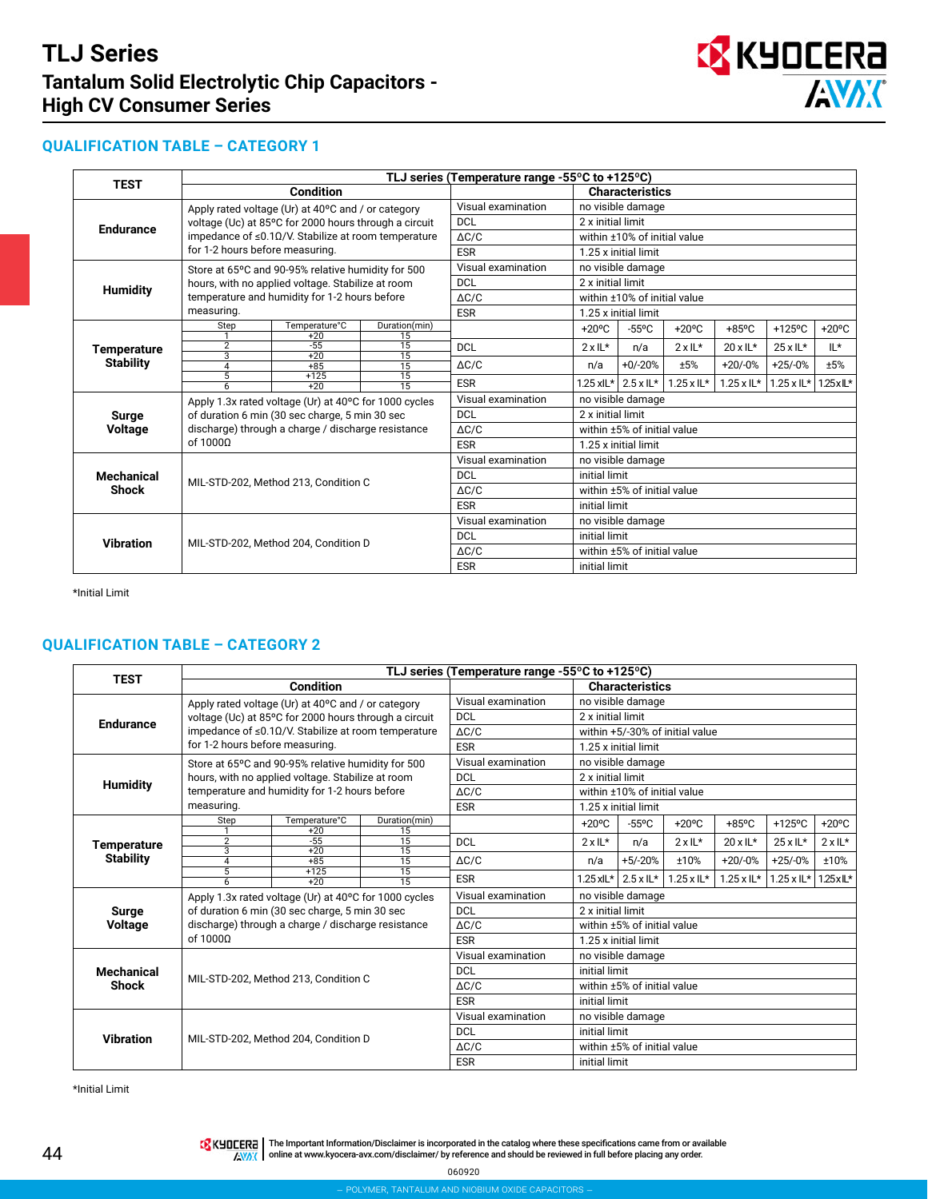

## **QUALIFICATION TABLE – CATEGORY 1**

| <b>TEST</b>        | TLJ series (Temperature range -55°C to +125°C) |                                                           |                       |                    |                              |                              |                                   |                      |                      |                   |  |  |
|--------------------|------------------------------------------------|-----------------------------------------------------------|-----------------------|--------------------|------------------------------|------------------------------|-----------------------------------|----------------------|----------------------|-------------------|--|--|
|                    |                                                | <b>Condition</b>                                          |                       |                    | <b>Characteristics</b>       |                              |                                   |                      |                      |                   |  |  |
|                    |                                                | Apply rated voltage (Ur) at 40°C and / or category        |                       | Visual examination | no visible damage            |                              |                                   |                      |                      |                   |  |  |
|                    |                                                | voltage (Uc) at 85°C for 2000 hours through a circuit     |                       | <b>DCL</b>         |                              | 2 x initial limit            |                                   |                      |                      |                   |  |  |
| <b>Endurance</b>   |                                                | impedance of $\leq$ 0.10/V. Stabilize at room temperature | $\Delta C/C$          |                    | within ±10% of initial value |                              |                                   |                      |                      |                   |  |  |
|                    | for 1-2 hours before measuring.                |                                                           |                       | <b>ESR</b>         |                              | 1.25 x initial limit         |                                   |                      |                      |                   |  |  |
|                    |                                                | Store at 65°C and 90-95% relative humidity for 500        |                       | Visual examination |                              | no visible damage            |                                   |                      |                      |                   |  |  |
|                    |                                                | hours, with no applied voltage. Stabilize at room         |                       | <b>DCL</b>         | 2 x initial limit            |                              |                                   |                      |                      |                   |  |  |
| <b>Humidity</b>    |                                                | temperature and humidity for 1-2 hours before             |                       | $\Delta C/C$       |                              | within ±10% of initial value |                                   |                      |                      |                   |  |  |
|                    | measuring.                                     |                                                           |                       | <b>ESR</b>         |                              | 1.25 x initial limit         |                                   |                      |                      |                   |  |  |
|                    | Step                                           | Temperature°C                                             | Duration(min)         |                    | $+20^{\circ}$ C              | $-55^{\circ}$ C              | $+20^{\circ}$ C                   | $+85^{\circ}$ C      | $+125$ °C            | $+20^{\circ}$ C   |  |  |
|                    |                                                | $+20$                                                     | $\overline{15}$       |                    |                              |                              |                                   |                      |                      |                   |  |  |
| <b>Temperature</b> | 2<br>$\overline{3}$                            | $-55$<br>$+20$                                            | $\overline{15}$<br>15 | <b>DCL</b>         | $2 \times 11*$               | n/a                          | $2 \times 11^*$                   | $20 \times 11*$      | $25 \times 11*$      | IL*               |  |  |
| <b>Stability</b>   | $\overline{4}$                                 | $+85$                                                     | 15                    | $\Delta C/C$       | n/a                          | $+0/-20%$                    | ±5%                               | $+20/0%$             | $+25/0%$             | ±5%               |  |  |
|                    | 5<br>$\overline{6}$                            | $+125$                                                    | 15<br>$\overline{15}$ | <b>ESR</b>         |                              | $1.25$ xlL* $2.5$ xlL*       | $1.25 \times \mathsf{IL}^{\star}$ | $1.25 \times 11^{*}$ | $1.25 \times 11^{*}$ | $1.25 \times L^*$ |  |  |
|                    |                                                | $+20$                                                     |                       | Visual examination |                              |                              |                                   |                      |                      |                   |  |  |
|                    |                                                | Apply 1.3x rated voltage (Ur) at 40°C for 1000 cycles     |                       |                    | no visible damage            |                              |                                   |                      |                      |                   |  |  |
| Surge              |                                                | of duration 6 min (30 sec charge, 5 min 30 sec            |                       | <b>DCL</b>         |                              | 2 x initial limit            |                                   |                      |                      |                   |  |  |
| <b>Voltage</b>     |                                                | discharge) through a charge / discharge resistance        |                       | $\Delta C/C$       | within ±5% of initial value  |                              |                                   |                      |                      |                   |  |  |
|                    | of $10000$                                     |                                                           |                       | <b>ESR</b>         | 1.25 x initial limit         |                              |                                   |                      |                      |                   |  |  |
|                    |                                                |                                                           |                       | Visual examination | no visible damage            |                              |                                   |                      |                      |                   |  |  |
| <b>Mechanical</b>  |                                                |                                                           |                       | <b>DCL</b>         | initial limit                |                              |                                   |                      |                      |                   |  |  |
| <b>Shock</b>       |                                                | MIL-STD-202, Method 213, Condition C                      |                       | $\Delta C/C$       |                              | within ±5% of initial value  |                                   |                      |                      |                   |  |  |
|                    |                                                |                                                           |                       | <b>ESR</b>         |                              | initial limit                |                                   |                      |                      |                   |  |  |
|                    |                                                |                                                           |                       | Visual examination |                              | no visible damage            |                                   |                      |                      |                   |  |  |
|                    |                                                |                                                           |                       | <b>DCL</b>         | initial limit                |                              |                                   |                      |                      |                   |  |  |
| <b>Vibration</b>   |                                                | MIL-STD-202. Method 204. Condition D                      |                       | $\Delta C/C$       |                              | within ±5% of initial value  |                                   |                      |                      |                   |  |  |
|                    |                                                |                                                           |                       | <b>ESR</b>         | initial limit                |                              |                                   |                      |                      |                   |  |  |

\*Initial Limit

## **QUALIFICATION TABLE – CATEGORY 2**

| <b>TEST</b>                     |                                 |                                                           |                                    | TLJ series (Temperature range -55 $\degree$ C to +125 $\degree$ C) |                              |                                 |                                   |                                   |                             |                            |  |  |  |
|---------------------------------|---------------------------------|-----------------------------------------------------------|------------------------------------|--------------------------------------------------------------------|------------------------------|---------------------------------|-----------------------------------|-----------------------------------|-----------------------------|----------------------------|--|--|--|
|                                 |                                 | <b>Condition</b>                                          |                                    |                                                                    |                              | <b>Characteristics</b>          |                                   |                                   |                             |                            |  |  |  |
|                                 |                                 | Apply rated voltage (Ur) at 40°C and / or category        |                                    | Visual examination                                                 | no visible damage            |                                 |                                   |                                   |                             |                            |  |  |  |
| <b>Endurance</b>                |                                 | voltage (Uc) at 85°C for 2000 hours through a circuit     | <b>DCL</b>                         | 2 x initial limit                                                  |                              |                                 |                                   |                                   |                             |                            |  |  |  |
|                                 |                                 | impedance of $\leq$ 0.10/V. Stabilize at room temperature | $\Delta C/C$                       |                                                                    |                              | within +5/-30% of initial value |                                   |                                   |                             |                            |  |  |  |
|                                 | for 1-2 hours before measuring. |                                                           |                                    | <b>ESR</b>                                                         |                              | 1.25 x initial limit            |                                   |                                   |                             |                            |  |  |  |
|                                 |                                 | Store at 65°C and 90-95% relative humidity for 500        |                                    | Visual examination                                                 |                              | no visible damage               |                                   |                                   |                             |                            |  |  |  |
|                                 |                                 | hours, with no applied voltage. Stabilize at room         |                                    | <b>DCL</b>                                                         | 2 x initial limit            |                                 |                                   |                                   |                             |                            |  |  |  |
| <b>Humidity</b>                 |                                 | temperature and humidity for 1-2 hours before             | $\triangle$ C/C                    |                                                                    | within ±10% of initial value |                                 |                                   |                                   |                             |                            |  |  |  |
|                                 | measuring.                      |                                                           |                                    | <b>ESR</b>                                                         |                              | 1.25 x initial limit            |                                   |                                   |                             |                            |  |  |  |
|                                 | Step                            | Temperature°C                                             | Duration(min)                      |                                                                    | $+20^{\circ}$ C              | $-55^{\circ}$ C                 | $+20^{\circ}$ C                   | $+85^{\circ}$ C                   | $+125$ °C                   | $+20^{\circ}$ C            |  |  |  |
|                                 | $\overline{2}$                  | $+20$<br>$-55$                                            | 15<br>$\overline{15}$              | <b>DCL</b>                                                         | $2 \times 11*$               | n/a                             | $2 \times 11^*$                   | $20 \times 11*$                   | $25 \times 11*$             | $2 \times 11*$             |  |  |  |
| Temperature<br><b>Stability</b> | 3                               | $+20$                                                     | $\overline{15}$                    |                                                                    |                              |                                 |                                   |                                   |                             |                            |  |  |  |
|                                 | 4<br>5                          | $+85$<br>$+125$                                           | $\overline{15}$<br>$\overline{15}$ | $\Delta C/C$                                                       | n/a                          | $+5/-20%$                       | ±10%                              | $+20/0%$                          | $+25/0%$                    | ±10%                       |  |  |  |
|                                 | $6 \overline{}$                 | $+20$                                                     | $\overline{15}$                    | <b>ESR</b>                                                         |                              | $1.25$ xlL* $\vert$ 2.5 x lL*   | $1.25 \times \mathsf{IL}^{\star}$ | $1.25 \times \mathsf{IL}^{\star}$ | $1.25 \times \mathsf{IL}^*$ | $1.25 \times \mathbb{L}^*$ |  |  |  |
|                                 |                                 | Apply 1.3x rated voltage (Ur) at 40°C for 1000 cycles     | Visual examination                 | no visible damage                                                  |                              |                                 |                                   |                                   |                             |                            |  |  |  |
| Surge                           |                                 | of duration 6 min (30 sec charge, 5 min 30 sec            |                                    | <b>DCL</b>                                                         | 2 x initial limit            |                                 |                                   |                                   |                             |                            |  |  |  |
| <b>Voltage</b>                  |                                 | discharge) through a charge / discharge resistance        | $\Delta C/C$                       |                                                                    | within ±5% of initial value  |                                 |                                   |                                   |                             |                            |  |  |  |
|                                 | of $10000$                      |                                                           |                                    | <b>ESR</b>                                                         |                              | 1.25 x initial limit            |                                   |                                   |                             |                            |  |  |  |
|                                 |                                 |                                                           |                                    | Visual examination                                                 |                              | no visible damage               |                                   |                                   |                             |                            |  |  |  |
| <b>Mechanical</b>               |                                 |                                                           |                                    | <b>DCL</b>                                                         |                              | initial limit                   |                                   |                                   |                             |                            |  |  |  |
| <b>Shock</b>                    |                                 | MIL-STD-202, Method 213, Condition C                      |                                    | $\Delta C/C$                                                       |                              | within ±5% of initial value     |                                   |                                   |                             |                            |  |  |  |
|                                 |                                 |                                                           |                                    | <b>ESR</b>                                                         |                              | initial limit                   |                                   |                                   |                             |                            |  |  |  |
|                                 |                                 |                                                           |                                    | Visual examination                                                 |                              | no visible damage               |                                   |                                   |                             |                            |  |  |  |
| <b>Vibration</b>                |                                 |                                                           |                                    | <b>DCL</b>                                                         |                              | initial limit                   |                                   |                                   |                             |                            |  |  |  |
|                                 |                                 | MIL-STD-202, Method 204, Condition D                      |                                    | $\Delta C/C$                                                       |                              | within ±5% of initial value     |                                   |                                   |                             |                            |  |  |  |
|                                 |                                 |                                                           |                                    | <b>ESR</b>                                                         | initial limit                |                                 |                                   |                                   |                             |                            |  |  |  |

\*Initial Limit

TR KUDLERA | The Important Information/Disclaimer is incorporated in the catalog where these specifications came from or available online at [www.kyocera-avx.com/disclaimer/](http://www.kyocera-avx.com/disclaimer/) by reference and should be reviewed in full before placing any order.